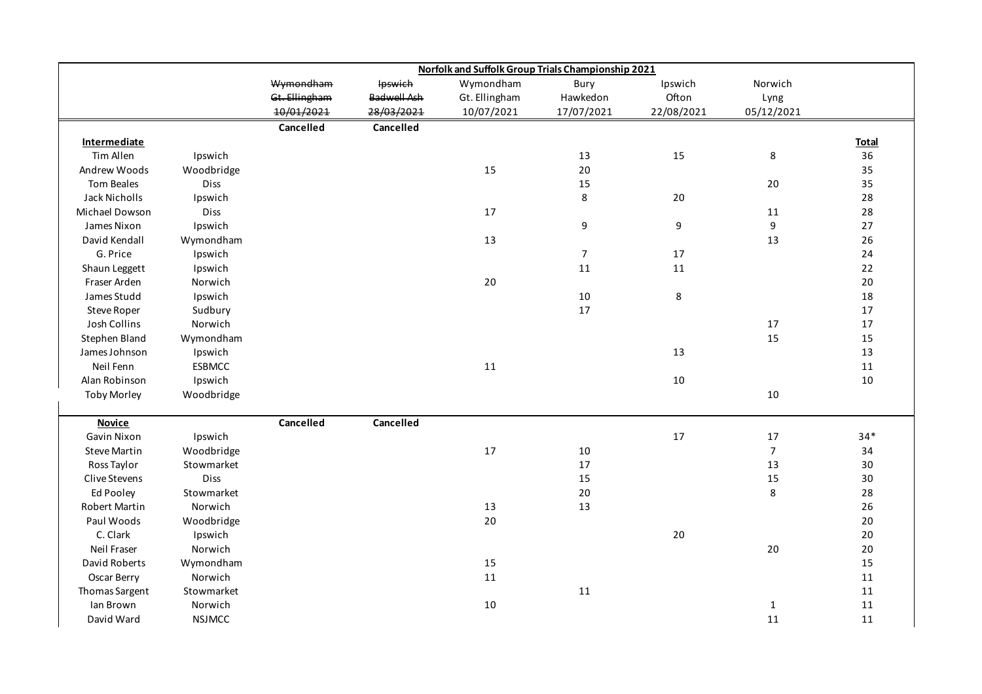|                      |               | Norfolk and Suffolk Group Trials Championship 2021 |                    |               |                  |            |                |              |  |
|----------------------|---------------|----------------------------------------------------|--------------------|---------------|------------------|------------|----------------|--------------|--|
|                      |               | Wymondham                                          | <b>Ipswich</b>     | Wymondham     | Bury             | Ipswich    | Norwich        |              |  |
|                      |               | Gt. Ellingham                                      | <b>Badwell Ash</b> | Gt. Ellingham | Hawkedon         | Ofton      | Lyng           |              |  |
|                      |               | 10/01/2021                                         | 28/03/2021         | 10/07/2021    | 17/07/2021       | 22/08/2021 | 05/12/2021     |              |  |
|                      |               | Cancelled                                          | Cancelled          |               |                  |            |                |              |  |
| <b>Intermediate</b>  |               |                                                    |                    |               |                  |            |                | <b>Total</b> |  |
| Tim Allen            | Ipswich       |                                                    |                    |               | 13               | 15         | $\bf 8$        | 36           |  |
| Andrew Woods         | Woodbridge    |                                                    |                    | 15            | 20               |            |                | 35           |  |
| <b>Tom Beales</b>    | Diss          |                                                    |                    |               | 15               |            | 20             | 35           |  |
| Jack Nicholls        | Ipswich       |                                                    |                    |               | 8                | 20         |                | 28           |  |
| Michael Dowson       | Diss          |                                                    |                    | $17\,$        |                  |            | 11             | 28           |  |
| James Nixon          | Ipswich       |                                                    |                    |               | 9                | 9          | 9              | 27           |  |
| David Kendall        | Wymondham     |                                                    |                    | 13            |                  |            | 13             | 26           |  |
| G. Price             | Ipswich       |                                                    |                    |               | $\boldsymbol{7}$ | 17         |                | 24           |  |
| Shaun Leggett        | Ipswich       |                                                    |                    |               | 11               | 11         |                | 22           |  |
| Fraser Arden         | Norwich       |                                                    |                    | 20            |                  |            |                | 20           |  |
| James Studd          | Ipswich       |                                                    |                    |               | 10               | 8          |                | 18           |  |
| Steve Roper          | Sudbury       |                                                    |                    |               | 17               |            |                | 17           |  |
| Josh Collins         | Norwich       |                                                    |                    |               |                  |            | 17             | 17           |  |
| Stephen Bland        | Wymondham     |                                                    |                    |               |                  |            | 15             | 15           |  |
| James Johnson        | Ipswich       |                                                    |                    |               |                  | 13         |                | 13           |  |
| Neil Fenn            | <b>ESBMCC</b> |                                                    |                    | 11            |                  |            |                | 11           |  |
| Alan Robinson        | Ipswich       |                                                    |                    |               |                  | 10         |                | 10           |  |
| <b>Toby Morley</b>   | Woodbridge    |                                                    |                    |               |                  |            | 10             |              |  |
|                      |               |                                                    |                    |               |                  |            |                |              |  |
| <b>Novice</b>        |               | Cancelled                                          | Cancelled          |               |                  |            |                |              |  |
| Gavin Nixon          | Ipswich       |                                                    |                    |               |                  | 17         | 17             | $34*$        |  |
| <b>Steve Martin</b>  | Woodbridge    |                                                    |                    | 17            | 10               |            | $\overline{7}$ | 34           |  |
| Ross Taylor          | Stowmarket    |                                                    |                    |               | 17               |            | 13             | 30           |  |
| Clive Stevens        | Diss          |                                                    |                    |               | 15               |            | 15             | 30           |  |
| Ed Pooley            | Stowmarket    |                                                    |                    |               | 20               |            | $\,8\,$        | 28           |  |
| <b>Robert Martin</b> | Norwich       |                                                    |                    | $13\,$        | 13               |            |                | 26           |  |
| Paul Woods           | Woodbridge    |                                                    |                    | 20            |                  |            |                | 20           |  |
| C. Clark             | Ipswich       |                                                    |                    |               |                  | $20\,$     |                | 20           |  |
| Neil Fraser          | Norwich       |                                                    |                    |               |                  |            | $20\,$         | $20\,$       |  |
| David Roberts        | Wymondham     |                                                    |                    | 15            |                  |            |                | 15           |  |
| Oscar Berry          | Norwich       |                                                    |                    | $11\,$        |                  |            |                | 11           |  |
| Thomas Sargent       | Stowmarket    |                                                    |                    |               | 11               |            |                | 11           |  |
| Ian Brown            | Norwich       |                                                    |                    | $10\,$        |                  |            | $\mathbf{1}$   | $11\,$       |  |
| David Ward           | <b>NSJMCC</b> |                                                    |                    |               |                  |            | 11             | 11           |  |